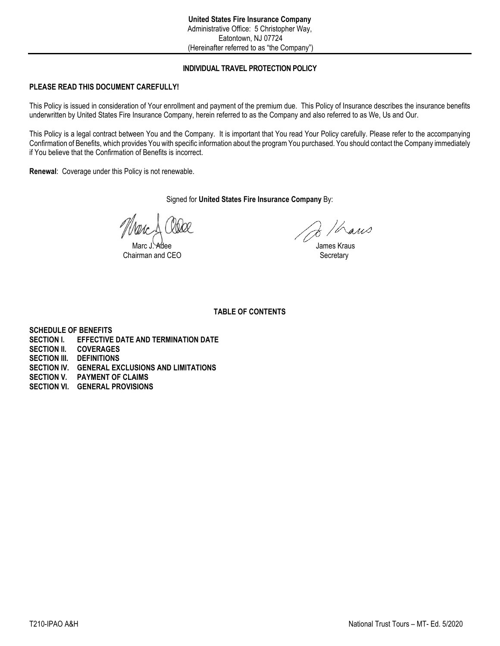# **INDIVIDUAL TRAVEL PROTECTION POLICY**

# **PLEASE READ THIS DOCUMENT CAREFULLY!**

This Policy is issued in consideration of Your enrollment and payment of the premium due. This Policy of Insurance describes the insurance benefits underwritten by United States Fire Insurance Company, herein referred to as the Company and also referred to as We, Us and Our.

This Policy is a legal contract between You and the Company. It is important that You read Your Policy carefully. Please refer to the accompanying Confirmation of Benefits, which provides You with specific information about the program You purchased. You should contact the Company immediately if You believe that the Confirmation of Benefits is incorrect.

**Renewal**: Coverage under this Policy is not renewable.

Signed for **United States Fire Insurance Company** By:

Chairman and CEO Secretary

 $2$  / hans

James Kraus

**TABLE OF CONTENTS**

**SCHEDULE OF BENEFITS SECTION I. EFFECTIVE DATE AND TERMINATION DATE SECTION II. COVERAGES**

- **SECTION III. DEFINITIONS**
- **SECTION IV. GENERAL EXCLUSIONS AND LIMITATIONS**
- **SECTION V. PAYMENT OF CLAIMS**
- **SECTION VI. GENERAL PROVISIONS**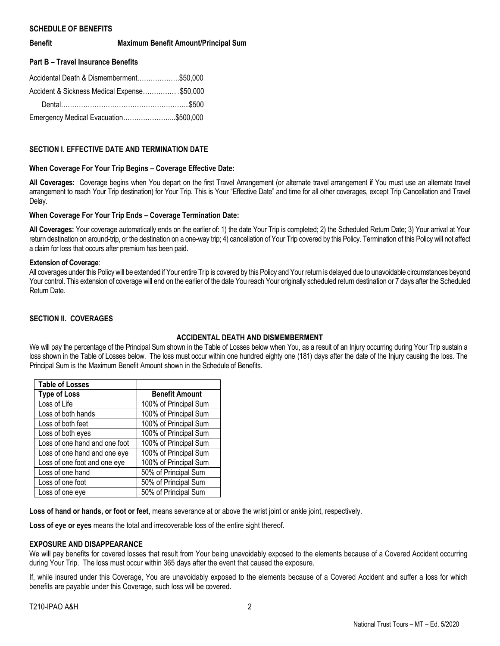## **SCHEDULE OF BENEFITS**

**Benefit Maximum Benefit Amount/Principal Sum**

## **Part B – Travel Insurance Benefits**

| Accidental Death & Dismemberment\$50,000     |  |
|----------------------------------------------|--|
| Accident & Sickness Medical Expense \$50,000 |  |
|                                              |  |
| Emergency Medical Evacuation\$500,000        |  |

## **SECTION I. EFFECTIVE DATE AND TERMINATION DATE**

## **When Coverage For Your Trip Begins – Coverage Effective Date:**

**All Coverages:** Coverage begins when You depart on the first Travel Arrangement (or alternate travel arrangement if You must use an alternate travel arrangement to reach Your Trip destination) for Your Trip. This is Your "Effective Date" and time for all other coverages, except Trip Cancellation and Travel Delay.

## **When Coverage For Your Trip Ends – Coverage Termination Date:**

**All Coverages:** Your coverage automatically ends on the earlier of: 1) the date Your Trip is completed; 2) the Scheduled Return Date; 3) Your arrival at Your return destination on around-trip, or the destination on a one-way trip; 4) cancellation of Your Trip covered by this Policy. Termination of this Policy will not affect a claim for loss that occurs after premium has been paid.

## **Extension of Coverage**:

All coverages under this Policy will be extended if Your entire Trip is covered by this Policy and Your return is delayed due to unavoidable circumstances beyond Your control. This extension of coverage will end on the earlier of the date You reach Your originally scheduled return destination or 7 days after the Scheduled Return Date.

# **SECTION II. COVERAGES**

# **ACCIDENTAL DEATH AND DISMEMBERMENT**

We will pay the percentage of the Principal Sum shown in the Table of Losses below when You, as a result of an Injury occurring during Your Trip sustain a loss shown in the Table of Losses below. The loss must occur within one hundred eighty one (181) days after the date of the Injury causing the loss. The Principal Sum is the Maximum Benefit Amount shown in the Schedule of Benefits.

| <b>Table of Losses</b>        |                       |
|-------------------------------|-----------------------|
| <b>Type of Loss</b>           | <b>Benefit Amount</b> |
| Loss of Life                  | 100% of Principal Sum |
| Loss of both hands            | 100% of Principal Sum |
| Loss of both feet             | 100% of Principal Sum |
| Loss of both eyes             | 100% of Principal Sum |
| Loss of one hand and one foot | 100% of Principal Sum |
| Loss of one hand and one eye  | 100% of Principal Sum |
| Loss of one foot and one eye  | 100% of Principal Sum |
| Loss of one hand              | 50% of Principal Sum  |
| Loss of one foot              | 50% of Principal Sum  |
| Loss of one eye               | 50% of Principal Sum  |

**Loss of hand or hands, or foot or feet**, means severance at or above the wrist joint or ankle joint, respectively.

**Loss of eye or eyes** means the total and irrecoverable loss of the entire sight thereof.

## **EXPOSURE AND DISAPPEARANCE**

We will pay benefits for covered losses that result from Your being unavoidably exposed to the elements because of a Covered Accident occurring during Your Trip. The loss must occur within 365 days after the event that caused the exposure.

If, while insured under this Coverage, You are unavoidably exposed to the elements because of a Covered Accident and suffer a loss for which benefits are payable under this Coverage, such loss will be covered.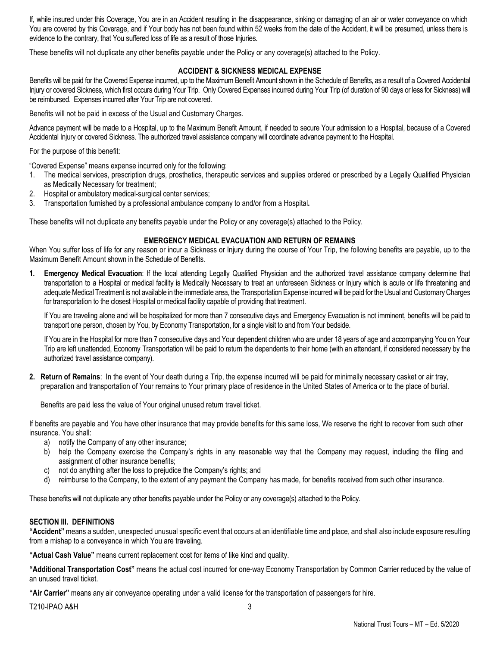If, while insured under this Coverage, You are in an Accident resulting in the disappearance, sinking or damaging of an air or water conveyance on which You are covered by this Coverage, and if Your body has not been found within 52 weeks from the date of the Accident, it will be presumed, unless there is evidence to the contrary, that You suffered loss of life as a result of those Injuries.

These benefits will not duplicate any other benefits payable under the Policy or any coverage(s) attached to the Policy.

# **ACCIDENT & SICKNESS MEDICAL EXPENSE**

Benefits will be paid for the Covered Expense incurred, up to the Maximum Benefit Amount shown in the Schedule of Benefits, as a result of a Covered Accidental Injury or covered Sickness, which first occurs during Your Trip. Only Covered Expenses incurred during Your Trip (of duration of 90 days or less for Sickness) will be reimbursed. Expenses incurred after Your Trip are not covered.

Benefits will not be paid in excess of the Usual and Customary Charges.

Advance payment will be made to a Hospital, up to the Maximum Benefit Amount, if needed to secure Your admission to a Hospital, because of a Covered Accidental Injury or covered Sickness. The authorized travel assistance company will coordinate advance payment to the Hospital.

For the purpose of this benefit:

"Covered Expense" means expense incurred only for the following:

- 1. The medical services, prescription drugs, prosthetics, therapeutic services and supplies ordered or prescribed by a Legally Qualified Physician as Medically Necessary for treatment;
- 2. Hospital or ambulatory medical-surgical center services;
- 3. Transportation furnished by a professional ambulance company to and/or from a Hospital**.**

These benefits will not duplicate any benefits payable under the Policy or any coverage(s) attached to the Policy.

## **EMERGENCY MEDICAL EVACUATION AND RETURN OF REMAINS**

When You suffer loss of life for any reason or incur a Sickness or Injury during the course of Your Trip, the following benefits are payable, up to the Maximum Benefit Amount shown in the Schedule of Benefits.

**1. Emergency Medical Evacuation**: If the local attending Legally Qualified Physician and the authorized travel assistance company determine that transportation to a Hospital or medical facility is Medically Necessary to treat an unforeseen Sickness or Injury which is acute or life threatening and adequate Medical Treatment is not available in the immediate area, the Transportation Expense incurred will be paid for the Usual and Customary Charges for transportation to the closest Hospital or medical facility capable of providing that treatment.

If You are traveling alone and will be hospitalized for more than 7 consecutive days and Emergency Evacuation is not imminent, benefits will be paid to transport one person, chosen by You, by Economy Transportation, for a single visit to and from Your bedside.

If You are in the Hospital for more than 7 consecutive days and Your dependent children who are under 18 years of age and accompanying You on Your Trip are left unattended, Economy Transportation will be paid to return the dependents to their home (with an attendant, if considered necessary by the authorized travel assistance company).

**2. Return of Remains**: In the event of Your death during a Trip, the expense incurred will be paid for minimally necessary casket or air tray, preparation and transportation of Your remains to Your primary place of residence in the United States of America or to the place of burial.

Benefits are paid less the value of Your original unused return travel ticket.

If benefits are payable and You have other insurance that may provide benefits for this same loss, We reserve the right to recover from such other insurance. You shall:

- a) notify the Company of any other insurance;
- b) help the Company exercise the Company's rights in any reasonable way that the Company may request, including the filing and assignment of other insurance benefits;
- c) not do anything after the loss to prejudice the Company's rights; and
- d) reimburse to the Company, to the extent of any payment the Company has made, for benefits received from such other insurance.

These benefits will not duplicate any other benefits payable under the Policy or any coverage(s) attached to the Policy.

## **SECTION III. DEFINITIONS**

**"Accident"** means a sudden, unexpected unusual specific event that occurs at an identifiable time and place, and shall also include exposure resulting from a mishap to a conveyance in which You are traveling.

**"Actual Cash Value"** means current replacement cost for items of like kind and quality.

**"Additional Transportation Cost"** means the actual cost incurred for one-way Economy Transportation by Common Carrier reduced by the value of an unused travel ticket.

**"Air Carrier"** means any air conveyance operating under a valid license for the transportation of passengers for hire.

T210-IPAO A&H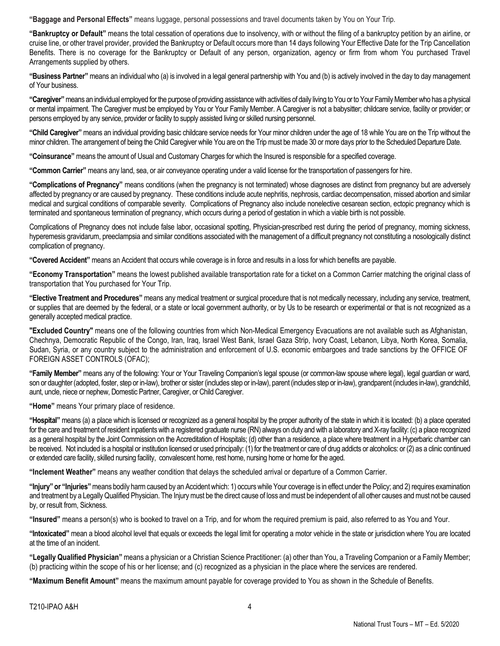**"Baggage and Personal Effects"** means luggage, personal possessions and travel documents taken by You on Your Trip.

**"Bankruptcy or Default"** means the total cessation of operations due to insolvency, with or without the filing of a bankruptcy petition by an airline, or cruise line, or other travel provider, provided the Bankruptcy or Default occurs more than 14 days following Your Effective Date for the Trip Cancellation Benefits. There is no coverage for the Bankruptcy or Default of any person, organization, agency or firm from whom You purchased Travel Arrangements supplied by others.

**"Business Partner"** means an individual who (a) is involved in a legal general partnership with You and (b) is actively involved in the day to day management of Your business.

**"Caregiver"** means an individual employed for the purpose of providing assistance with activities of daily living to You or to Your Family Member who has a physical or mental impairment. The Caregiver must be employed by You or Your Family Member. A Caregiver is not a babysitter; childcare service, facility or provider; or persons employed by any service, provider or facility to supply assisted living or skilled nursing personnel.

**"Child Caregiver"** means an individual providing basic childcare service needs for Your minor children under the age of 18 while You are on the Trip without the minor children. The arrangement of being the Child Caregiver while You are on the Trip must be made 30 or more days prior to the Scheduled Departure Date.

**"Coinsurance"** means the amount of Usual and Customary Charges for which the Insured is responsible for a specified coverage.

**"Common Carrier"** means any land, sea, or air conveyance operating under a valid license for the transportation of passengers for hire.

**"Complications of Pregnancy"** means conditions (when the pregnancy is not terminated) whose diagnoses are distinct from pregnancy but are adversely affected by pregnancy or are caused by pregnancy. These conditions include acute nephritis, nephrosis, cardiac decompensation, missed abortion and similar medical and surgical conditions of comparable severity. Complications of Pregnancy also include nonelective cesarean section, ectopic pregnancy which is terminated and spontaneous termination of pregnancy, which occurs during a period of gestation in which a viable birth is not possible.

Complications of Pregnancy does not include false labor, occasional spotting, Physician-prescribed rest during the period of pregnancy, morning sickness, hyperemesis gravidarum, preeclampsia and similar conditions associated with the management of a difficult pregnancy not constituting a nosologically distinct complication of pregnancy.

**"Covered Accident"** means an Accident that occurs while coverage is in force and results in a loss for which benefits are payable.

**"Economy Transportation"** means the lowest published available transportation rate for a ticket on a Common Carrier matching the original class of transportation that You purchased for Your Trip.

**"Elective Treatment and Procedures"** means any medical treatment or surgical procedure that is not medically necessary, including any service, treatment, or supplies that are deemed by the federal, or a state or local government authority, or by Us to be research or experimental or that is not recognized as a generally accepted medical practice.

**"Excluded Country"** means one of the following countries from which Non-Medical Emergency Evacuations are not available such as Afghanistan, Chechnya, Democratic Republic of the Congo, Iran, Iraq, Israel West Bank, Israel Gaza Strip, Ivory Coast, Lebanon, Libya, North Korea, Somalia, Sudan, Syria, or any country subject to the administration and enforcement of U.S. economic embargoes and trade sanctions by the OFFICE OF FOREIGN ASSET CONTROLS (OFAC);

**"Family Member"** means any of the following: Your or Your Traveling Companion's legal spouse (or common-law spouse where legal), legal guardian or ward, son or daughter (adopted, foster, step or in-law), brother or sister (includes step or in-law), parent (includes step or in-law), grandparent (includes in-law), grandchild, aunt, uncle, niece or nephew, Domestic Partner, Caregiver, or Child Caregiver.

**"Home"** means Your primary place of residence.

**"Hospital"** means (a) a place which is licensed or recognized as a general hospital by the proper authority of the state in which it is located: (b) a place operated for the care and treatment of resident inpatients with a registered graduate nurse (RN) always on duty and with a laboratory and X-ray facility: (c) a place recognized as a general hospital by the Joint Commission on the Accreditation of Hospitals; (d) other than a residence, a place where treatment in a Hyperbaric chamber can be received. Not included is a hospital or institution licensed or used principally: (1) for the treatment or care of drug addicts or alcoholics: or (2) as a clinic continued or extended care facility, skilled nursing facility, convalescent home, rest home, nursing home or home for the aged.

**"Inclement Weather"** means any weather condition that delays the scheduled arrival or departure of a Common Carrier.

**"Injury" or "Injuries"** means bodily harm caused by an Accident which: 1) occurs while Your coverage is in effect under the Policy; and 2) requires examination and treatment by a Legally Qualified Physician. The Injury must be the direct cause of loss and must be independent of all other causes and must not be caused by, or result from, Sickness.

**"Insured"** means a person(s) who is booked to travel on a Trip, and for whom the required premium is paid, also referred to as You and Your.

**"Intoxicated"** mean a blood alcohol level that equals or exceeds the legal limit for operating a motor vehicle in the state or jurisdiction where You are located at the time of an incident.

**"Legally Qualified Physician"** means a physician or a Christian Science Practitioner: (a) other than You, a Traveling Companion or a Family Member; (b) practicing within the scope of his or her license; and (c) recognized as a physician in the place where the services are rendered.

**"Maximum Benefit Amount"** means the maximum amount payable for coverage provided to You as shown in the Schedule of Benefits.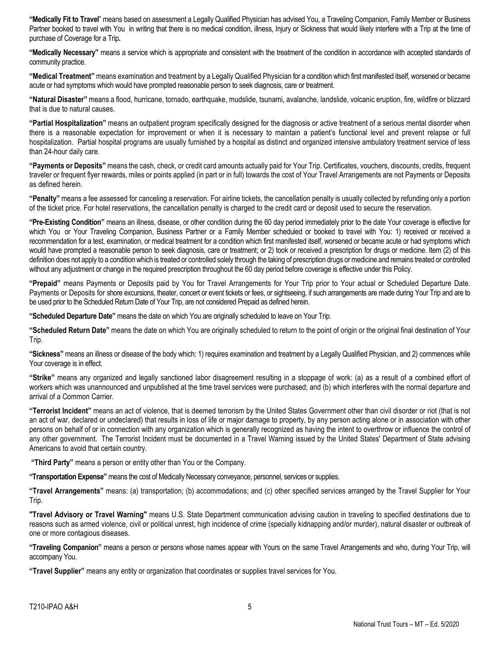**"Medically Fit to Travel**" means based on assessment a Legally Qualified Physician has advised You, a Traveling Companion, Family Member or Business Partner booked to travel with You in writing that there is no medical condition, illness, Injury or Sickness that would likely interfere with a Trip at the time of purchase of Coverage for a Trip**.**

**"Medically Necessary"** means a service which is appropriate and consistent with the treatment of the condition in accordance with accepted standards of community practice.

**"Medical Treatment"** means examination and treatment by a Legally Qualified Physician for a condition which first manifested itself, worsened or became acute or had symptoms which would have prompted reasonable person to seek diagnosis, care or treatment.

**"Natural Disaster"** means a flood, hurricane, tornado, earthquake, mudslide, tsunami, avalanche, landslide, volcanic eruption, fire, wildfire or blizzard that is due to natural causes.

**"Partial Hospitalization"** means an outpatient program specifically designed for the diagnosis or active treatment of a serious mental disorder when there is a reasonable expectation for improvement or when it is necessary to maintain a patient's functional level and prevent relapse or full hospitalization. Partial hospital programs are usually furnished by a hospital as distinct and organized intensive ambulatory treatment service of less than 24-hour daily care.

**"Payments or Deposits"** means the cash, check, or credit card amounts actually paid for Your Trip. Certificates, vouchers, discounts, credits, frequent traveler or frequent flyer rewards, miles or points applied (in part or in full) towards the cost of Your Travel Arrangements are not Payments or Deposits as defined herein.

**"Penalty"** means a fee assessed for canceling a reservation. For airline tickets, the cancellation penalty is usually collected by refunding only a portion of the ticket price. For hotel reservations, the cancellation penalty is charged to the credit card or deposit used to secure the reservation.

**"Pre-Existing Condition"** means an illness, disease, or other condition during the 60 day period immediately prior to the date Your coverage is effective for which You or Your Traveling Companion, Business Partner or a Family Member scheduled or booked to travel with You: 1) received or received a recommendation for a test, examination, or medical treatment for a condition which first manifested itself, worsened or became acute or had symptoms which would have prompted a reasonable person to seek diagnosis, care or treatment; or 2) took or received a prescription for drugs or medicine. Item (2) of this definition does not apply to a condition which is treated or controlled solely through the taking of prescription drugs or medicine and remains treated or controlled without any adjustment or change in the required prescription throughout the 60 day period before coverage is effective under this Policy.

**"Prepaid"** means Payments or Deposits paid by You for Travel Arrangements for Your Trip prior to Your actual or Scheduled Departure Date. Payments or Deposits for shore excursions, theater, concert or event tickets or fees, or sightseeing, if such arrangements are made during Your Trip and are to be used prior to the Scheduled Return Date of Your Trip, are not considered Prepaid as defined herein.

**"Scheduled Departure Date"** means the date on which You are originally scheduled to leave on Your Trip.

**"Scheduled Return Date"** means the date on which You are originally scheduled to return to the point of origin or the original final destination of Your Trip.

**"Sickness"** means an illness or disease of the body which: 1) requires examination and treatment by a Legally Qualified Physician, and 2) commences while Your coverage is in effect.

**"Strike"** means any organized and legally sanctioned labor disagreement resulting in a stoppage of work: (a) as a result of a combined effort of workers which was unannounced and unpublished at the time travel services were purchased; and (b) which interferes with the normal departure and arrival of a Common Carrier.

**"Terrorist Incident"** means an act of violence, that is deemed terrorism by the United States Government other than civil disorder or riot (that is not an act of war, declared or undeclared) that results in loss of life or major damage to property, by any person acting alone or in association with other persons on behalf of or in connection with any organization which is generally recognized as having the intent to overthrow or influence the control of any other government. The Terrorist Incident must be documented in a Travel Warning issued by the United States' Department of State advising Americans to avoid that certain country.

**"Third Party"** means a person or entity other than You or the Company.

**"Transportation Expense"** means the cost of Medically Necessary conveyance, personnel, services or supplies.

**"Travel Arrangements"** means: (a) transportation; (b) accommodations; and (c) other specified services arranged by the Travel Supplier for Your Trip.

**"Travel Advisory or Travel Warning"** means U.S. State Department communication advising caution in traveling to specified destinations due to reasons such as armed violence, civil or political unrest, high incidence of crime (specially kidnapping and/or murder), natural disaster or outbreak of one or more contagious diseases.

**"Traveling Companion"** means a person or persons whose names appear with Yours on the same Travel Arrangements and who, during Your Trip, will accompany You.

**"Travel Supplier"** means any entity or organization that coordinates or supplies travel services for You.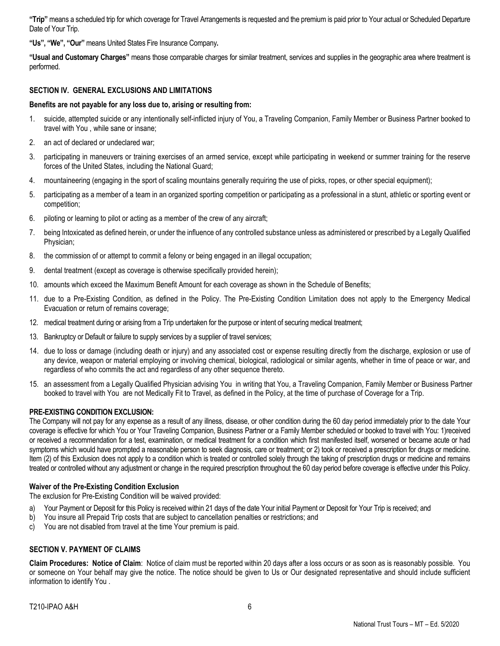**"Trip"** means a scheduled trip for which coverage for Travel Arrangements is requested and the premium is paid prior to Your actual or Scheduled Departure Date of Your Trip.

**"Us", "We", "Our"** means United States Fire Insurance Company**.**

**"Usual and Customary Charges"** means those comparable charges for similar treatment, services and supplies in the geographic area where treatment is performed.

## **SECTION IV. GENERAL EXCLUSIONS AND LIMITATIONS**

#### **Benefits are not payable for any loss due to, arising or resulting from:**

- 1. suicide, attempted suicide or any intentionally self-inflicted injury of You, a Traveling Companion, Family Member or Business Partner booked to travel with You , while sane or insane;
- 2. an act of declared or undeclared war;
- 3. participating in maneuvers or training exercises of an armed service, except while participating in weekend or summer training for the reserve forces of the United States, including the National Guard;
- 4. mountaineering (engaging in the sport of scaling mountains generally requiring the use of picks, ropes, or other special equipment);
- 5. participating as a member of a team in an organized sporting competition or participating as a professional in a stunt, athletic or sporting event or competition;
- 6. piloting or learning to pilot or acting as a member of the crew of any aircraft;
- 7. being Intoxicated as defined herein, or under the influence of any controlled substance unless as administered or prescribed by a Legally Qualified Physician;
- 8. the commission of or attempt to commit a felony or being engaged in an illegal occupation;
- 9. dental treatment (except as coverage is otherwise specifically provided herein);
- 10. amounts which exceed the Maximum Benefit Amount for each coverage as shown in the Schedule of Benefits;
- 11. due to a Pre-Existing Condition, as defined in the Policy. The Pre-Existing Condition Limitation does not apply to the Emergency Medical Evacuation or return of remains coverage;
- 12. medical treatment during or arising from a Trip undertaken for the purpose or intent of securing medical treatment;
- 13. Bankruptcy or Default or failure to supply services by a supplier of travel services;
- 14. due to loss or damage (including death or injury) and any associated cost or expense resulting directly from the discharge, explosion or use of any device, weapon or material employing or involving chemical, biological, radiological or similar agents, whether in time of peace or war, and regardless of who commits the act and regardless of any other sequence thereto.
- 15. an assessment from a Legally Qualified Physician advising You in writing that You, a Traveling Companion, Family Member or Business Partner booked to travel with You are not Medically Fit to Travel, as defined in the Policy, at the time of purchase of Coverage for a Trip.

#### **PRE-EXISTING CONDITION EXCLUSION:**

The Company will not pay for any expense as a result of any illness, disease, or other condition during the 60 day period immediately prior to the date Your coverage is effective for which You or Your Traveling Companion, Business Partner or a Family Member scheduled or booked to travel with You: 1)received or received a recommendation for a test, examination, or medical treatment for a condition which first manifested itself, worsened or became acute or had symptoms which would have prompted a reasonable person to seek diagnosis, care or treatment; or 2) took or received a prescription for drugs or medicine. Item (2) of this Exclusion does not apply to a condition which is treated or controlled solely through the taking of prescription drugs or medicine and remains treated or controlled without any adjustment or change in the required prescription throughout the 60 day period before coverage is effective under this Policy.

#### **Waiver of the Pre-Existing Condition Exclusion**

The exclusion for Pre-Existing Condition will be waived provided:

- a) Your Payment or Deposit for this Policy is received within 21 days of the date Your initial Payment or Deposit for Your Trip is received; and
- b) You insure all Prepaid Trip costs that are subject to cancellation penalties or restrictions; and
- c) You are not disabled from travel at the time Your premium is paid.

## **SECTION V. PAYMENT OF CLAIMS**

**Claim Procedures: Notice of Claim**: Notice of claim must be reported within 20 days after a loss occurs or as soon as is reasonably possible. You or someone on Your behalf may give the notice. The notice should be given to Us or Our designated representative and should include sufficient information to identify You .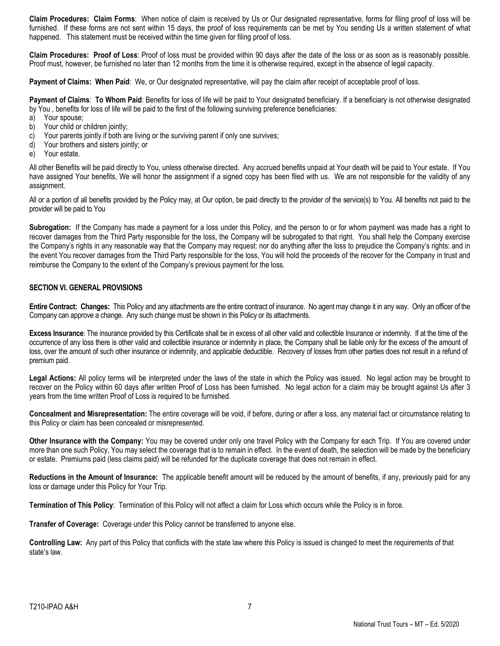**Claim Procedures: Claim Forms**: When notice of claim is received by Us or Our designated representative, forms for filing proof of loss will be furnished. If these forms are not sent within 15 days, the proof of loss requirements can be met by You sending Us a written statement of what happened. This statement must be received within the time given for filing proof of loss.

**Claim Procedures: Proof of Loss**: Proof of loss must be provided within 90 days after the date of the loss or as soon as is reasonably possible. Proof must, however, be furnished no later than 12 months from the time it is otherwise required, except in the absence of legal capacity.

**Payment of Claims: When Paid**: We, or Our designated representative, will pay the claim after receipt of acceptable proof of loss.

**Payment of Claims**: **To Whom Paid**: Benefits for loss of life will be paid to Your designated beneficiary. If a beneficiary is not otherwise designated by You , benefits for loss of life will be paid to the first of the following surviving preference beneficiaries:

- a) Your spouse;
- b) Your child or children jointly:
- c) Your parents jointly if both are living or the surviving parent if only one survives;
- d) Your brothers and sisters jointly; or
- e) Your estate.

All other Benefits will be paid directly to You, unless otherwise directed. Any accrued benefits unpaid at Your death will be paid to Your estate. If You have assigned Your benefits, We will honor the assignment if a signed copy has been filed with us. We are not responsible for the validity of any assignment.

All or a portion of all benefits provided by the Policy may, at Our option, be paid directly to the provider of the service(s) to You. All benefits not paid to the provider will be paid to You

**Subrogation:** If the Company has made a payment for a loss under this Policy, and the person to or for whom payment was made has a right to recover damages from the Third Party responsible for the loss, the Company will be subrogated to that right. You shall help the Company exercise the Company's rights in any reasonable way that the Company may request: nor do anything after the loss to prejudice the Company's rights: and in the event You recover damages from the Third Party responsible for the loss, You will hold the proceeds of the recover for the Company in trust and reimburse the Company to the extent of the Company's previous payment for the loss.

## **SECTION VI. GENERAL PROVISIONS**

**Entire Contract: Changes:** This Policy and any attachments are the entire contract of insurance. No agent may change it in any way. Only an officer of the Company can approve a change. Any such change must be shown in this Policy or its attachments.

**Excess Insurance**: The insurance provided by this Certificate shall be in excess of all other valid and collectible Insurance or indemnity. If at the time of the occurrence of any loss there is other valid and collectible insurance or indemnity in place, the Company shall be liable only for the excess of the amount of loss, over the amount of such other insurance or indemnity, and applicable deductible. Recovery of losses from other parties does not result in a refund of premium paid.

**Legal Actions:** All policy terms will be interpreted under the laws of the state in which the Policy was issued. No legal action may be brought to recover on the Policy within 60 days after written Proof of Loss has been furnished. No legal action for a claim may be brought against Us after 3 years from the time written Proof of Loss is required to be furnished.

**Concealment and Misrepresentation:** The entire coverage will be void, if before, during or after a loss, any material fact or circumstance relating to this Policy or claim has been concealed or misrepresented.

**Other Insurance with the Company:** You may be covered under only one travel Policy with the Company for each Trip. If You are covered under more than one such Policy, You may select the coverage that is to remain in effect. In the event of death, the selection will be made by the beneficiary or estate. Premiums paid (less claims paid) will be refunded for the duplicate coverage that does not remain in effect.

**Reductions in the Amount of Insurance:** The applicable benefit amount will be reduced by the amount of benefits, if any, previously paid for any loss or damage under this Policy for Your Trip.

**Termination of This Policy**: Termination of this Policy will not affect a claim for Loss which occurs while the Policy is in force.

**Transfer of Coverage:** Coverage under this Policy cannot be transferred to anyone else.

**Controlling Law:** Any part of this Policy that conflicts with the state law where this Policy is issued is changed to meet the requirements of that state's law.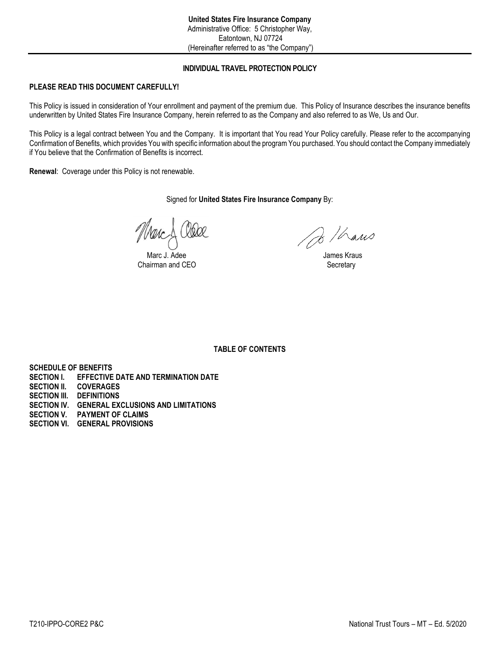# **INDIVIDUAL TRAVEL PROTECTION POLICY**

# **PLEASE READ THIS DOCUMENT CAREFULLY!**

This Policy is issued in consideration of Your enrollment and payment of the premium due. This Policy of Insurance describes the insurance benefits underwritten by United States Fire Insurance Company, herein referred to as the Company and also referred to as We, Us and Our.

This Policy is a legal contract between You and the Company. It is important that You read Your Policy carefully. Please refer to the accompanying Confirmation of Benefits, which provides You with specific information about the program You purchased. You should contact the Company immediately if You believe that the Confirmation of Benefits is incorrect.

**Renewal**: Coverage under this Policy is not renewable.

Signed for **United States Fire Insurance Company** By:

Marc J. Adee<br>
airman and CEO<br>
Secretary
Secretary Chairman and CEO

Do / hans

**TABLE OF CONTENTS**

**SCHEDULE OF BENEFITS SECTION I. EFFECTIVE DATE AND TERMINATION DATE**

- **SECTION II. COVERAGES**
- **SECTION III. DEFINITIONS**
- **SECTION IV. GENERAL EXCLUSIONS AND LIMITATIONS**
- **SECTION V. PAYMENT OF CLAIMS**
- **SECTION VI. GENERAL PROVISIONS**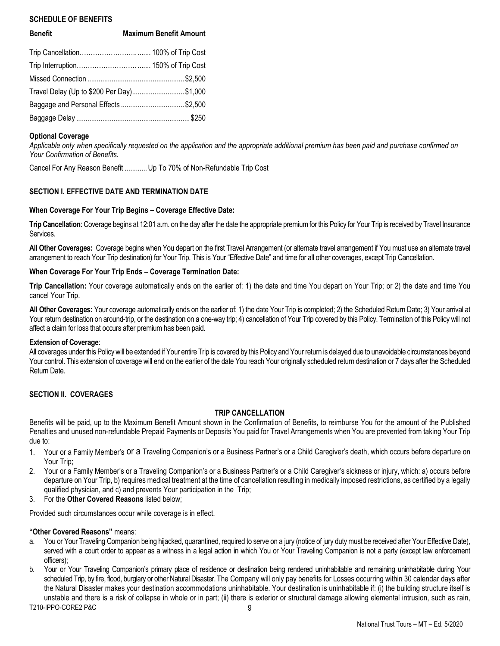## **SCHEDULE OF BENEFITS**

| <b>Benefit</b>                             | <b>Maximum Benefit Amount</b> |
|--------------------------------------------|-------------------------------|
|                                            |                               |
|                                            |                               |
|                                            |                               |
| Travel Delay (Up to \$200 Per Day) \$1,000 |                               |
| Baggage and Personal Effects \$2,500       |                               |
|                                            |                               |
|                                            |                               |

## **Optional Coverage**

*Applicable only when specifically requested on the application and the appropriate additional premium has been paid and purchase confirmed on Your Confirmation of Benefits.*

Cancel For Any Reason Benefit ............Up To 70% of Non-Refundable Trip Cost

# **SECTION I. EFFECTIVE DATE AND TERMINATION DATE**

## **When Coverage For Your Trip Begins – Coverage Effective Date:**

**Trip Cancellation**: Coverage begins at 12:01 a.m. on the day after the date the appropriate premiumfor this Policy for Your Trip is received by Travel Insurance Services.

**All Other Coverages:** Coverage begins when You depart on the first Travel Arrangement (or alternate travel arrangement if You must use an alternate travel arrangement to reach Your Trip destination) for Your Trip. This is Your "Effective Date" and time for all other coverages, except Trip Cancellation.

## **When Coverage For Your Trip Ends – Coverage Termination Date:**

**Trip Cancellation:** Your coverage automatically ends on the earlier of: 1) the date and time You depart on Your Trip; or 2) the date and time You cancel Your Trip.

**All Other Coverages:** Your coverage automatically ends on the earlier of: 1) the date Your Trip is completed; 2) the Scheduled Return Date; 3) Your arrival at Your return destination on around-trip, or the destination on a one-way trip; 4) cancellation of Your Trip covered by this Policy. Termination of this Policy will not affect a claim for loss that occurs after premium has been paid.

## **Extension of Coverage**:

All coverages under this Policy will be extended if Your entire Trip is covered by this Policy and Your return is delayed due to unavoidable circumstances beyond Your control. This extension of coverage will end on the earlier of the date You reach Your originally scheduled return destination or 7 days after the Scheduled Return Date.

## **SECTION II. COVERAGES**

## **TRIP CANCELLATION**

Benefits will be paid, up to the Maximum Benefit Amount shown in the Confirmation of Benefits, to reimburse You for the amount of the Published Penalties and unused non-refundable Prepaid Payments or Deposits You paid for Travel Arrangements when You are prevented from taking Your Trip due to:

- 1. Your or a Family Member's or a Traveling Companion's or a Business Partner's or a Child Caregiver's death, which occurs before departure on Your Trip;
- 2. Your or a Family Member's or a Traveling Companion's or a Business Partner's or a Child Caregiver's sickness or injury, which: a) occurs before departure on Your Trip, b) requires medical treatment at the time of cancellation resulting in medically imposed restrictions, as certified by a legally qualified physician, and c) and prevents Your participation in the Trip;
- 3. For the **Other Covered Reasons** listed below;

Provided such circumstances occur while coverage is in effect.

## **"Other Covered Reasons"** means:

- a. You or Your Traveling Companion being hijacked, quarantined, required to serve on a jury (notice of jury duty must be received after Your Effective Date), served with a court order to appear as a witness in a legal action in which You or Your Traveling Companion is not a party (except law enforcement officers);
- T210-IPPO-CORE2 P&C 9 b. Your or Your Traveling Companion's primary place of residence or destination being rendered uninhabitable and remaining uninhabitable during Your scheduled Trip, by fire, flood, burglary or other Natural Disaster. The Company will only pay benefits for Losses occurring within 30 calendar days after the Natural Disaster makes your destination accommodations uninhabitable. Your destination is uninhabitable if: (i) the building structure itself is unstable and there is a risk of collapse in whole or in part; (ii) there is exterior or structural damage allowing elemental intrusion, such as rain,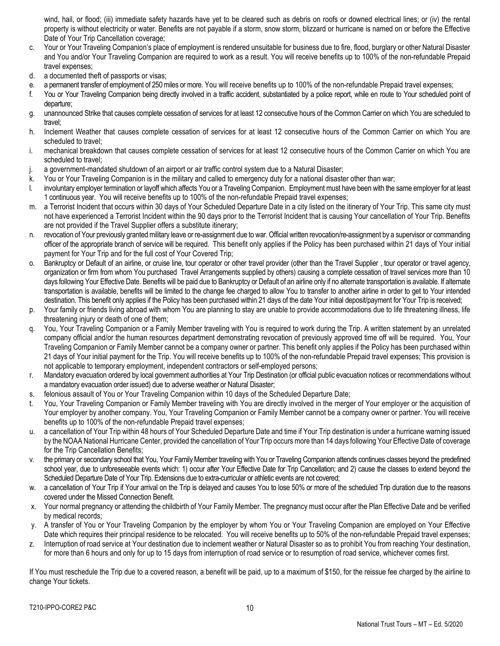wind, hail, or flood; (iii) immediate safety hazards have yet to be cleared such as debris on roofs or downed electrical lines; or (iv) the rental property is without electricity or water. Benefits are not payable if a storm, snow storm, blizzard or hurricane is named on or before the Effective Date of Your Trip Cancellation coverage;

- c. Your or Your Traveling Companion's place of employment is rendered unsuitable for business due to fire, flood, burglary or other Natural Disaster and You and/or Your Traveling Companion are required to work as a result. You will receive benefits up to 100% of the non-refundable Prepaid travel expenses;
- d. a documented theft of passports or visas;
- e. a permanent transfer of employment of 250 miles or more. You will receive benefits up to 100% of the non-refundable Prepaid travel expenses;
- f. You or Your Traveling Companion being directly involved in a traffic accident, substantiated by a police report, while en route to Your scheduled point of departure;
- g. unannounced Strike that causes complete cessation of services for at least 12 consecutive hours of the Common Carrier on which You are scheduled to travel;
- h. Inclement Weather that causes complete cessation of services for at least 12 consecutive hours of the Common Carrier on which You are scheduled to travel:
- i. mechanical breakdown that causes complete cessation of services for at least 12 consecutive hours of the Common Carrier on which You are scheduled to travel;
- j. a government-mandated shutdown of an airport or air traffic control system due to a Natural Disaster;
- k. You or Your Traveling Companion is in the military and called to emergency duty for a national disaster other than war;
- l. involuntary employer termination or layoff which affects You or a Traveling Companion. Employment must have been with the same employer for at least 1 continuous year. You will receive benefits up to 100% of the non-refundable Prepaid travel expenses;
- m. a Terrorist Incident that occurs within 30 days of Your Scheduled Departure Date in a city listed on the itinerary of Your Trip. This same city must not have experienced a Terrorist Incident within the 90 days prior to the Terrorist Incident that is causing Your cancellation of Your Trip. Benefits are not provided if the Travel Supplier offers a substitute itinerary;
- n. revocation of Your previously granted military leave or re-assignment due to war. Official written revocation/re-assignment by a supervisor or commanding officer of the appropriate branch of service will be required. This benefit only applies if the Policy has been purchased within 21 days of Your initial payment for Your Trip and for the full cost of Your Covered Trip;
- o. Bankruptcy or Default of an airline, or cruise line, tour operator or other travel provider (other than the Travel Supplier , tour operator or travel agency, organization or firm from whom You purchased Travel Arrangements supplied by others) causing a complete cessation of travel services more than 10 days following Your Effective Date. Benefits will be paid due to Bankruptcy or Default of an airline only if no alternate transportation is available. If alternate transportation is available, benefits will be limited to the change fee charged to allow You to transfer to another airline in order to get to Your intended destination. This benefit only applies if the Policy has been purchased within 21 days of the date Your initial deposit/payment for Your Trip is received;
- p. Your family or friends living abroad with whom You are planning to stay are unable to provide accommodations due to life threatening illness, life threatening injury or death of one of them;
- q. You, Your Traveling Companion or a Family Member traveling with You is required to work during the Trip. A written statement by an unrelated company official and/or the human resources department demonstrating revocation of previously approved time off will be required. You, Your Traveling Companion or Family Member cannot be a company owner or partner. This benefit only applies if the Policy has been purchased within 21 days of Your initial payment for the Trip. You will receive benefits up to 100% of the non-refundable Prepaid travel expenses; This provision is not applicable to temporary employment, independent contractors or self-employed persons;
- r. Mandatory evacuation ordered by local government authorities at Your Trip Destination (or official public evacuation notices or recommendations without a mandatory evacuation order issued) due to adverse weather or Natural Disaster;
- s. felonious assault of You or Your Traveling Companion within 10 days of the Scheduled Departure Date;
- t. You, Your Traveling Companion or Family Member traveling with You are directly involved in the merger of Your employer or the acquisition of Your employer by another company. You, Your Traveling Companion or Family Member cannot be a company owner or partner. You will receive benefits up to 100% of the non-refundable Prepaid travel expenses;
- u. a cancellation of Your Trip within 48 hours of Your Scheduled Departure Date and time if Your Trip destination is under a hurricane warning issued by the NOAA National Hurricane Center, provided the cancellation of Your Trip occurs more than 14 days following Your Effective Date of coverage for the Trip Cancellation Benefits:
- v. the primary or secondary school that You, Your Family Member traveling with You or Traveling Companion attends continues classes beyond the predefined school year, due to unforeseeable events which: 1) occur after Your Effective Date for Trip Cancellation; and 2) cause the classes to extend beyond the Scheduled Departure Date of Your Trip. Extensions due to extra-curricular or athletic events are not covered;
- w. a cancellation of Your Trip if Your arrival on the Trip is delayed and causes You to lose 50% or more of the scheduled Trip duration due to the reasons covered under the Missed Connection Benefit.
- x. Your normal pregnancy or attending the childbirth of Your Family Member. The pregnancy must occur after the Plan Effective Date and be verified by medical records;
- y. A transfer of You or Your Traveling Companion by the employer by whom You or Your Traveling Companion are employed on Your Effective Date which requires their principal residence to be relocated. You will receive benefits up to 50% of the non-refundable Prepaid travel expenses;
- z. Interruption of road service at Your destination due to inclement weather or Natural Disaster so as to prohibit You from reaching Your destination, for more than 6 hours and only for up to 15 days from interruption of road service or to resumption of road service, whichever comes first.

If You must reschedule the Trip due to a covered reason, a benefit will be paid, up to a maximum of \$150, for the reissue fee charged by the airline to change Your tickets.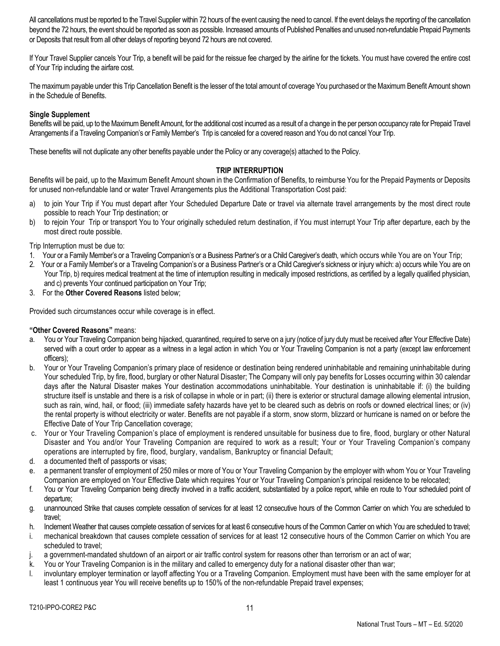All cancellations must be reported to the Travel Supplier within 72 hours of the event causing the need to cancel. If the event delays the reporting of the cancellation beyond the 72 hours, the event should be reported as soon as possible. Increased amounts of Published Penalties and unused non-refundable Prepaid Payments or Deposits that result from all other delays of reporting beyond 72 hours are not covered.

If Your Travel Supplier cancels Your Trip, a benefit will be paid for the reissue fee charged by the airline for the tickets. You must have covered the entire cost of Your Trip including the airfare cost.

The maximum payable under this Trip Cancellation Benefit is the lesser of the total amount of coverage You purchased or the Maximum Benefit Amount shown in the Schedule of Benefits.

# **Single Supplement**

Benefits will be paid, up to the Maximum Benefit Amount, for the additional cost incurred as a result of a change in the per person occupancy rate for Prepaid Travel Arrangements if a Traveling Companion's or Family Member's Trip is canceled for a covered reason and You do not cancel Your Trip.

These benefits will not duplicate any other benefits payable under the Policy or any coverage(s) attached to the Policy.

## **TRIP INTERRUPTION**

Benefits will be paid, up to the Maximum Benefit Amount shown in the Confirmation of Benefits, to reimburse You for the Prepaid Payments or Deposits for unused non-refundable land or water Travel Arrangements plus the Additional Transportation Cost paid:

- a) to join Your Trip if You must depart after Your Scheduled Departure Date or travel via alternate travel arrangements by the most direct route possible to reach Your Trip destination; or
- b) to rejoin Your Trip or transport You to Your originally scheduled return destination, if You must interrupt Your Trip after departure, each by the most direct route possible.

#### Trip Interruption must be due to:

- 1. Your or a Family Member's or a Traveling Companion's or a Business Partner's or a Child Caregiver's death, which occurs while You are on Your Trip;
- 2. Your or a Family Member's or a Traveling Companion's or a Business Partner's or a Child Caregiver's sickness or injury which: a) occurs while You are on Your Trip, b) requires medical treatment at the time of interruption resulting in medically imposed restrictions, as certified by a legally qualified physician, and c) prevents Your continued participation on Your Trip;
- 3. For the **Other Covered Reasons** listed below;

Provided such circumstances occur while coverage is in effect.

## **"Other Covered Reasons"** means:

- a. You or Your Traveling Companion being hijacked, quarantined, required to serve on a jury (notice of jury duty must be received after Your Effective Date) served with a court order to appear as a witness in a legal action in which You or Your Traveling Companion is not a party (except law enforcement officers);
- b. Your or Your Traveling Companion's primary place of residence or destination being rendered uninhabitable and remaining uninhabitable during Your scheduled Trip, by fire, flood, burglary or other Natural Disaster; The Company will only pay benefits for Losses occurring within 30 calendar days after the Natural Disaster makes Your destination accommodations uninhabitable. Your destination is uninhabitable if: (i) the building structure itself is unstable and there is a risk of collapse in whole or in part; (ii) there is exterior or structural damage allowing elemental intrusion, such as rain, wind, hail, or flood; (iii) immediate safety hazards have yet to be cleared such as debris on roofs or downed electrical lines; or (iv) the rental property is without electricity or water. Benefits are not payable if a storm, snow storm, blizzard or hurricane is named on or before the Effective Date of Your Trip Cancellation coverage;
- c. Your or Your Traveling Companion's place of employment is rendered unsuitable for business due to fire, flood, burglary or other Natural Disaster and You and/or Your Traveling Companion are required to work as a result; Your or Your Traveling Companion's company operations are interrupted by fire, flood, burglary, vandalism, Bankruptcy or financial Default;
- d. a documented theft of passports or visas;
- e. a permanent transfer of employment of 250 miles or more of You or Your Traveling Companion by the employer with whom You or Your Traveling Companion are employed on Your Effective Date which requires Your or Your Traveling Companion's principal residence to be relocated;
- f. You or Your Traveling Companion being directly involved in a traffic accident, substantiated by a police report, while en route to Your scheduled point of departure;
- g. unannounced Strike that causes complete cessation of services for at least 12 consecutive hours of the Common Carrier on which You are scheduled to travel;
- h. Inclement Weather that causes complete cessation of services for at least 6 consecutive hours of the Common Carrier on which You are scheduled to travel;
- i. mechanical breakdown that causes complete cessation of services for at least 12 consecutive hours of the Common Carrier on which You are scheduled to travel;
- j. a government-mandated shutdown of an airport or air traffic control system for reasons other than terrorism or an act of war;
- k. You or Your Traveling Companion is in the military and called to emergency duty for a national disaster other than war;
- l. involuntary employer termination or layoff affecting You or a Traveling Companion. Employment must have been with the same employer for at least 1 continuous year You will receive benefits up to 150% of the non-refundable Prepaid travel expenses;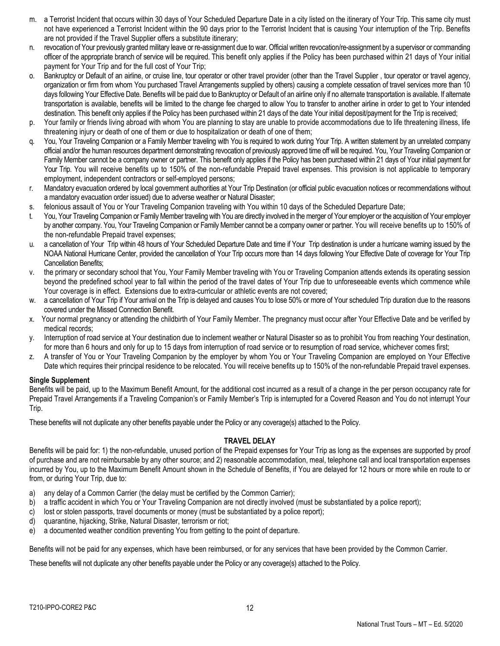- m. a Terrorist Incident that occurs within 30 days of Your Scheduled Departure Date in a city listed on the itinerary of Your Trip. This same city must not have experienced a Terrorist Incident within the 90 days prior to the Terrorist Incident that is causing Your interruption of the Trip. Benefits are not provided if the Travel Supplier offers a substitute itinerary;
- n. revocation of Your previously granted military leave or re-assignment due to war. Official written revocation/re-assignment by a supervisor or commanding officer of the appropriate branch of service will be required. This benefit only applies if the Policy has been purchased within 21 days of Your initial payment for Your Trip and for the full cost of Your Trip;
- o. Bankruptcy or Default of an airline, or cruise line, tour operator or other travel provider (other than the Travel Supplier , tour operator or travel agency, organization or firm from whom You purchased Travel Arrangements supplied by others) causing a complete cessation of travel services more than 10 days following Your Effective Date. Benefits will be paid due to Bankruptcy or Default of an airline only if no alternate transportation is available. If alternate transportation is available, benefits will be limited to the change fee charged to allow You to transfer to another airline in order to get to Your intended destination. This benefit only applies if the Policy has been purchased within 21 days of the date Your initial deposit/payment for the Trip is received;
- p. Your family or friends living abroad with whom You are planning to stay are unable to provide accommodations due to life threatening illness, life threatening injury or death of one of them or due to hospitalization or death of one of them;
- q. You, Your Traveling Companion or a Family Member traveling with You is required to work during Your Trip. A written statement by an unrelated company official and/or the human resources department demonstrating revocation of previously approved time off will be required. You, Your Traveling Companion or Family Member cannot be a company owner or partner. This benefit only applies if the Policy has been purchased within 21 days of Your initial payment for Your Trip. You will receive benefits up to 150% of the non-refundable Prepaid travel expenses. This provision is not applicable to temporary employment, independent contractors or self-employed persons;
- r. Mandatory evacuation ordered by local government authorities at Your Trip Destination (or official public evacuation notices or recommendations without a mandatory evacuation order issued) due to adverse weather or Natural Disaster;
- s. felonious assault of You or Your Traveling Companion traveling with You within 10 days of the Scheduled Departure Date;
- t. You, Your Traveling Companion or Family Member traveling with You are directly involved in the merger of Your employer or the acquisition of Your employer by another company. You, Your Traveling Companion or Family Member cannot be a company owner or partner. You will receive benefits up to 150% of the non-refundable Prepaid travel expenses;
- u. a cancellation of Your Trip within 48 hours of Your Scheduled Departure Date and time if Your Trip destination is under a hurricane warning issued by the NOAA National Hurricane Center, provided the cancellation of Your Trip occurs more than 14 days following Your Effective Date of coverage for Your Trip Cancellation Benefits;
- v. the primary or secondary school that You, Your Family Member traveling with You or Traveling Companion attends extends its operating session beyond the predefined school year to fall within the period of the travel dates of Your Trip due to unforeseeable events which commence while Your coverage is in effect. Extensions due to extra-curricular or athletic events are not covered;
- a cancellation of Your Trip if Your arrival on the Trip is delayed and causes You to lose 50% or more of Your scheduled Trip duration due to the reasons covered under the Missed Connection Benefit.
- x. Your normal pregnancy or attending the childbirth of Your Family Member. The pregnancy must occur after Your Effective Date and be verified by medical records;
- y. Interruption of road service at Your destination due to inclement weather or Natural Disaster so as to prohibit You from reaching Your destination, for more than 6 hours and only for up to 15 days from interruption of road service or to resumption of road service, whichever comes first;
- z. A transfer of You or Your Traveling Companion by the employer by whom You or Your Traveling Companion are employed on Your Effective Date which requires their principal residence to be relocated. You will receive benefits up to 150% of the non-refundable Prepaid travel expenses.

## **Single Supplement**

Benefits will be paid, up to the Maximum Benefit Amount, for the additional cost incurred as a result of a change in the per person occupancy rate for Prepaid Travel Arrangements if a Traveling Companion's or Family Member's Trip is interrupted for a Covered Reason and You do not interrupt Your Trip.

These benefits will not duplicate any other benefits payable under the Policy or any coverage(s) attached to the Policy.

## **TRAVEL DELAY**

Benefits will be paid for: 1) the non-refundable, unused portion of the Prepaid expenses for Your Trip as long as the expenses are supported by proof of purchase and are not reimbursable by any other source; and 2) reasonable accommodation, meal, telephone call and local transportation expenses incurred by You, up to the Maximum Benefit Amount shown in the Schedule of Benefits, if You are delayed for 12 hours or more while en route to or from, or during Your Trip, due to:

- a) any delay of a Common Carrier (the delay must be certified by the Common Carrier);
- b) a traffic accident in which You or Your Traveling Companion are not directly involved (must be substantiated by a police report);
- c) lost or stolen passports, travel documents or money (must be substantiated by a police report);
- d) quarantine, hijacking, Strike, Natural Disaster, terrorism or riot;
- e) a documented weather condition preventing You from getting to the point of departure.

Benefits will not be paid for any expenses, which have been reimbursed, or for any services that have been provided by the Common Carrier.

These benefits will not duplicate any other benefits payable under the Policy or any coverage(s) attached to the Policy.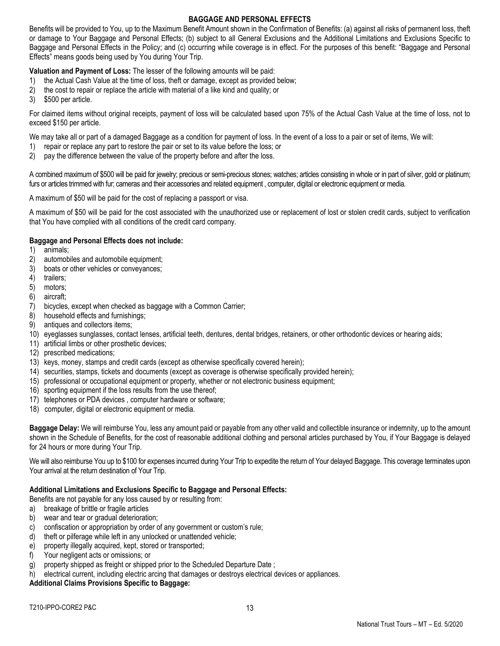# **BAGGAGE AND PERSONAL EFFECTS**

Benefits will be provided to You, up to the Maximum Benefit Amount shown in the Confirmation of Benefits: (a) against all risks of permanent loss, theft or damage to Your Baggage and Personal Effects; (b) subject to all General Exclusions and the Additional Limitations and Exclusions Specific to Baggage and Personal Effects in the Policy; and (c) occurring while coverage is in effect. For the purposes of this benefit: "Baggage and Personal Effects" means goods being used by You during Your Trip.

**Valuation and Payment of Loss:** The lesser of the following amounts will be paid:

- 1) the Actual Cash Value at the time of loss, theft or damage, except as provided below;
- 2) the cost to repair or replace the article with material of a like kind and quality; or
- 3) \$500 per article.

For claimed items without original receipts, payment of loss will be calculated based upon 75% of the Actual Cash Value at the time of loss, not to exceed \$150 per article.

We may take all or part of a damaged Baggage as a condition for payment of loss. In the event of a loss to a pair or set of items, We will:

- 1) repair or replace any part to restore the pair or set to its value before the loss; or
- 2) pay the difference between the value of the property before and after the loss.

A combined maximum of \$500 will be paid for jewelry; precious or semi-precious stones; watches; articles consisting in whole or in part of silver, gold or platinum; furs or articles trimmed with fur; cameras and their accessories and related equipment, computer, digital or electronic equipment or media.

A maximum of \$50 will be paid for the cost of replacing a passport or visa.

A maximum of \$50 will be paid for the cost associated with the unauthorized use or replacement of lost or stolen credit cards, subject to verification that You have complied with all conditions of the credit card company.

# **Baggage and Personal Effects does not include:**

- 1) animals;
- 2) automobiles and automobile equipment;
- 3) boats or other vehicles or conveyances;
- 4) trailers;
- 5) motors;
- 6) aircraft;
- 7) bicycles, except when checked as baggage with a Common Carrier;
- 8) household effects and furnishings;
- 9) antiques and collectors items;
- 10) eyeglasses sunglasses, contact lenses, artificial teeth, dentures, dental bridges, retainers, or other orthodontic devices or hearing aids;
- 11) artificial limbs or other prosthetic devices;
- 12) prescribed medications;
- 13) keys, money, stamps and credit cards (except as otherwise specifically covered herein);
- 14) securities, stamps, tickets and documents (except as coverage is otherwise specifically provided herein);
- 15) professional or occupational equipment or property, whether or not electronic business equipment;
- 16) sporting equipment if the loss results from the use thereof;
- 17) telephones or PDA devices, computer hardware or software;
- 18) computer, digital or electronic equipment or media.

**Baggage Delay:** We will reimburse You, less any amount paid or payable from any other valid and collectible insurance or indemnity, up to the amount shown in the Schedule of Benefits, for the cost of reasonable additional clothing and personal articles purchased by You, if Your Baggage is delayed for 24 hours or more during Your Trip.

We will also reimburse You up to \$100 for expenses incurred during Your Trip to expedite the return of Your delayed Baggage. This coverage terminates upon Your arrival at the return destination of Your Trip.

# **Additional Limitations and Exclusions Specific to Baggage and Personal Effects:**

Benefits are not payable for any loss caused by or resulting from:

- a) breakage of brittle or fragile articles
- b) wear and tear or gradual deterioration;
- c) confiscation or appropriation by order of any government or custom's rule;
- d) theft or pilferage while left in any unlocked or unattended vehicle;
- e) property illegally acquired, kept, stored or transported;
- f) Your negligent acts or omissions; or
- g) property shipped as freight or shipped prior to the Scheduled Departure Date ;
- h) electrical current, including electric arcing that damages or destroys electrical devices or appliances.

**Additional Claims Provisions Specific to Baggage:**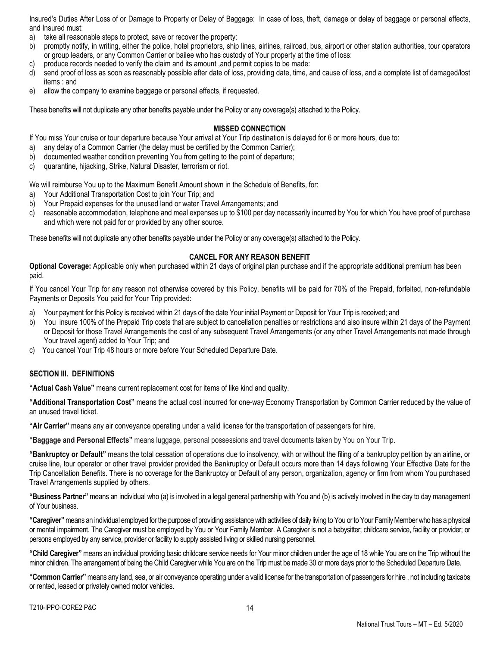Insured's Duties After Loss of or Damage to Property or Delay of Baggage: In case of loss, theft, damage or delay of baggage or personal effects, and Insured must:

- a) take all reasonable steps to protect, save or recover the property:
- b) promptly notify, in writing, either the police, hotel proprietors, ship lines, airlines, railroad, bus, airport or other station authorities, tour operators or group leaders, or any Common Carrier or bailee who has custody of Your property at the time of loss:
- c) produce records needed to verify the claim and its amount ,and permit copies to be made:
- d) send proof of loss as soon as reasonably possible after date of loss, providing date, time, and cause of loss, and a complete list of damaged/lost items : and
- e) allow the company to examine baggage or personal effects, if requested.

These benefits will not duplicate any other benefits payable under the Policy or any coverage(s) attached to the Policy.

#### **MISSED CONNECTION**

If You miss Your cruise or tour departure because Your arrival at Your Trip destination is delayed for 6 or more hours, due to:

- a) any delay of a Common Carrier (the delay must be certified by the Common Carrier);
- b) documented weather condition preventing You from getting to the point of departure;
- c) quarantine, hijacking, Strike, Natural Disaster, terrorism or riot.

We will reimburse You up to the Maximum Benefit Amount shown in the Schedule of Benefits, for:

- a) Your Additional Transportation Cost to join Your Trip; and
- b) Your Prepaid expenses for the unused land or water Travel Arrangements; and
- c) reasonable accommodation, telephone and meal expenses up to \$100 per day necessarily incurred by You for which You have proof of purchase and which were not paid for or provided by any other source.

These benefits will not duplicate any other benefits payable under the Policy or any coverage(s) attached to the Policy.

#### **CANCEL FOR ANY REASON BENEFIT**

**Optional Coverage:** Applicable only when purchased within 21 days of original plan purchase and if the appropriate additional premium has been paid.

If You cancel Your Trip for any reason not otherwise covered by this Policy, benefits will be paid for 70% of the Prepaid, forfeited, non-refundable Payments or Deposits You paid for Your Trip provided:

- a) Your payment for this Policy is received within 21 days of the date Your initial Payment or Deposit for Your Trip is received; and
- b) You insure 100% of the Prepaid Trip costs that are subject to cancellation penalties or restrictions and also insure within 21 days of the Payment or Deposit for those Travel Arrangements the cost of any subsequent Travel Arrangements (or any other Travel Arrangements not made through Your travel agent) added to Your Trip; and
- c) You cancel Your Trip 48 hours or more before Your Scheduled Departure Date.

## **SECTION III. DEFINITIONS**

**"Actual Cash Value"** means current replacement cost for items of like kind and quality.

**"Additional Transportation Cost"** means the actual cost incurred for one-way Economy Transportation by Common Carrier reduced by the value of an unused travel ticket.

**"Air Carrier"** means any air conveyance operating under a valid license for the transportation of passengers for hire.

**"Baggage and Personal Effects"** means luggage, personal possessions and travel documents taken by You on Your Trip.

**"Bankruptcy or Default"** means the total cessation of operations due to insolvency, with or without the filing of a bankruptcy petition by an airline, or cruise line, tour operator or other travel provider provided the Bankruptcy or Default occurs more than 14 days following Your Effective Date for the Trip Cancellation Benefits. There is no coverage for the Bankruptcy or Default of any person, organization, agency or firm from whom You purchased Travel Arrangements supplied by others.

**"Business Partner"** means an individual who (a) is involved in a legal general partnership with You and (b) is actively involved in the day to day management of Your business.

**"Caregiver"** means an individual employed for the purpose of providing assistance with activities of daily living to You or to Your Family Member who has a physical or mental impairment. The Caregiver must be employed by You or Your Family Member. A Caregiver is not a babysitter; childcare service, facility or provider; or persons employed by any service, provider or facility to supply assisted living or skilled nursing personnel.

**"Child Caregiver"** means an individual providing basic childcare service needs for Your minor children under the age of 18 while You are on the Trip without the minor children. The arrangement of being the Child Caregiver while You are on the Trip must be made 30 or more days prior to the Scheduled Departure Date.

**"Common Carrier"** means any land, sea, or air conveyance operating under a valid license for the transportation of passengers for hire , not including taxicabs or rented, leased or privately owned motor vehicles.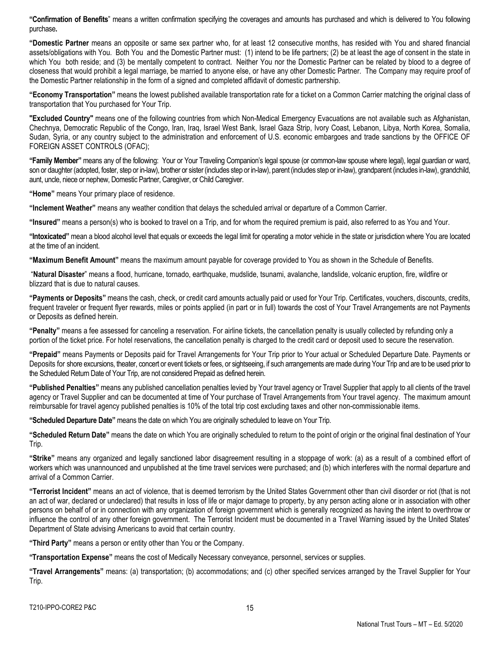**"Confirmation of Benefits**" means a written confirmation specifying the coverages and amounts has purchased and which is delivered to You following purchase**.**

**"Domestic Partner** means an opposite or same sex partner who, for at least 12 consecutive months, has resided with You and shared financial assets/obligations with You. Both You and the Domestic Partner must: (1) intend to be life partners; (2) be at least the age of consent in the state in which You both reside; and (3) be mentally competent to contract. Neither You nor the Domestic Partner can be related by blood to a degree of closeness that would prohibit a legal marriage, be married to anyone else, or have any other Domestic Partner. The Company may require proof of the Domestic Partner relationship in the form of a signed and completed affidavit of domestic partnership.

**"Economy Transportation"** means the lowest published available transportation rate for a ticket on a Common Carrier matching the original class of transportation that You purchased for Your Trip.

**"Excluded Country"** means one of the following countries from which Non-Medical Emergency Evacuations are not available such as Afghanistan, Chechnya, Democratic Republic of the Congo, Iran, Iraq, Israel West Bank, Israel Gaza Strip, Ivory Coast, Lebanon, Libya, North Korea, Somalia, Sudan, Syria, or any country subject to the administration and enforcement of U.S. economic embargoes and trade sanctions by the OFFICE OF FOREIGN ASSET CONTROLS (OFAC);

**"Family Member"** means any of the following: Your or Your Traveling Companion's legal spouse (or common-law spouse where legal), legal guardian or ward, son or daughter (adopted, foster, step or in-law), brother or sister (includes step or in-law), parent (includes step or in-law), grandparent (includes in-law), grandchild, aunt, uncle, niece or nephew, Domestic Partner, Caregiver, or Child Caregiver.

**"Home"** means Your primary place of residence.

**"Inclement Weather"** means any weather condition that delays the scheduled arrival or departure of a Common Carrier.

**"Insured"** means a person(s) who is booked to travel on a Trip, and for whom the required premium is paid, also referred to as You and Your.

**"Intoxicated"** mean a blood alcohol level that equals or exceeds the legal limit for operating a motor vehicle in the state or jurisdiction where You are located at the time of an incident.

**"Maximum Benefit Amount"** means the maximum amount payable for coverage provided to You as shown in the Schedule of Benefits.

"**Natural Disaster**" means a flood, hurricane, tornado, earthquake, mudslide, tsunami, avalanche, landslide, volcanic eruption, fire, wildfire or blizzard that is due to natural causes.

**"Payments or Deposits"** means the cash, check, or credit card amounts actually paid or used for Your Trip. Certificates, vouchers, discounts, credits, frequent traveler or frequent flyer rewards, miles or points applied (in part or in full) towards the cost of Your Travel Arrangements are not Payments or Deposits as defined herein.

**"Penalty"** means a fee assessed for canceling a reservation. For airline tickets, the cancellation penalty is usually collected by refunding only a portion of the ticket price. For hotel reservations, the cancellation penalty is charged to the credit card or deposit used to secure the reservation.

**"Prepaid"** means Payments or Deposits paid for Travel Arrangements for Your Trip prior to Your actual or Scheduled Departure Date. Payments or Deposits for shore excursions, theater, concert or event tickets or fees, or sightseeing, if such arrangements are made during Your Trip and are to be used prior to the Scheduled Return Date of Your Trip, are not considered Prepaid as defined herein.

**"Published Penalties"** means any published cancellation penalties levied by Your travel agency or Travel Supplier that apply to all clients of the travel agency or Travel Supplier and can be documented at time of Your purchase of Travel Arrangements from Your travel agency. The maximum amount reimbursable for travel agency published penalties is 10% of the total trip cost excluding taxes and other non-commissionable items.

**"Scheduled Departure Date"** means the date on which You are originally scheduled to leave on Your Trip.

**"Scheduled Return Date"** means the date on which You are originally scheduled to return to the point of origin or the original final destination of Your Trip.

**"Strike"** means any organized and legally sanctioned labor disagreement resulting in a stoppage of work: (a) as a result of a combined effort of workers which was unannounced and unpublished at the time travel services were purchased; and (b) which interferes with the normal departure and arrival of a Common Carrier.

**"Terrorist Incident"** means an act of violence, that is deemed terrorism by the United States Government other than civil disorder or riot (that is not an act of war, declared or undeclared) that results in loss of life or major damage to property, by any person acting alone or in association with other persons on behalf of or in connection with any organization of foreign government which is generally recognized as having the intent to overthrow or influence the control of any other foreign government. The Terrorist Incident must be documented in a Travel Warning issued by the United States' Department of State advising Americans to avoid that certain country.

**"Third Party"** means a person or entity other than You or the Company.

**"Transportation Expense"** means the cost of Medically Necessary conveyance, personnel, services or supplies.

**"Travel Arrangements"** means: (a) transportation; (b) accommodations; and (c) other specified services arranged by the Travel Supplier for Your Trip.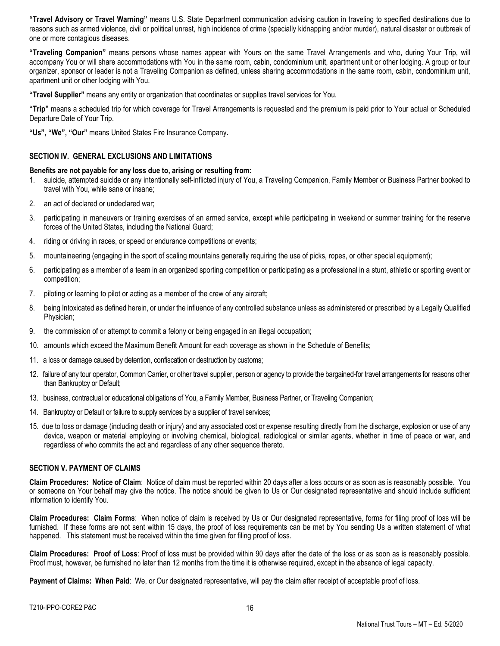**"Travel Advisory or Travel Warning"** means U.S. State Department communication advising caution in traveling to specified destinations due to reasons such as armed violence, civil or political unrest, high incidence of crime (specially kidnapping and/or murder), natural disaster or outbreak of one or more contagious diseases.

**"Traveling Companion"** means persons whose names appear with Yours on the same Travel Arrangements and who, during Your Trip, will accompany You or will share accommodations with You in the same room, cabin, condominium unit, apartment unit or other lodging. A group or tour organizer, sponsor or leader is not a Traveling Companion as defined, unless sharing accommodations in the same room, cabin, condominium unit, apartment unit or other lodging with You.

**"Travel Supplier"** means any entity or organization that coordinates or supplies travel services for You.

**"Trip"** means a scheduled trip for which coverage for Travel Arrangements is requested and the premium is paid prior to Your actual or Scheduled Departure Date of Your Trip.

**"Us", "We", "Our"** means United States Fire Insurance Company**.**

#### **SECTION IV. GENERAL EXCLUSIONS AND LIMITATIONS**

#### **Benefits are not payable for any loss due to, arising or resulting from:**

- 1. suicide, attempted suicide or any intentionally self-inflicted injury of You, a Traveling Companion, Family Member or Business Partner booked to travel with You, while sane or insane;
- 2. an act of declared or undeclared war;
- 3. participating in maneuvers or training exercises of an armed service, except while participating in weekend or summer training for the reserve forces of the United States, including the National Guard;
- 4. riding or driving in races, or speed or endurance competitions or events;
- 5. mountaineering (engaging in the sport of scaling mountains generally requiring the use of picks, ropes, or other special equipment);
- 6. participating as a member of a team in an organized sporting competition or participating as a professional in a stunt, athletic or sporting event or competition;
- 7. piloting or learning to pilot or acting as a member of the crew of any aircraft;
- 8. being Intoxicated as defined herein, or under the influence of any controlled substance unless as administered or prescribed by a Legally Qualified Physician;
- 9. the commission of or attempt to commit a felony or being engaged in an illegal occupation;
- 10. amounts which exceed the Maximum Benefit Amount for each coverage as shown in the Schedule of Benefits;
- 11. a loss or damage caused by detention, confiscation or destruction by customs;
- 12. failure of any tour operator, Common Carrier, or other travel supplier, person or agency to provide the bargained-for travel arrangements for reasons other than Bankruptcy or Default;
- 13. business, contractual or educational obligations of You, a Family Member, Business Partner, or Traveling Companion;
- 14. Bankruptcy or Default or failure to supply services by a supplier of travel services;
- 15. due to loss or damage (including death or injury) and any associated cost or expense resulting directly from the discharge, explosion or use of any device, weapon or material employing or involving chemical, biological, radiological or similar agents, whether in time of peace or war, and regardless of who commits the act and regardless of any other sequence thereto.

## **SECTION V. PAYMENT OF CLAIMS**

**Claim Procedures: Notice of Claim**: Notice of claim must be reported within 20 days after a loss occurs or as soon as is reasonably possible. You or someone on Your behalf may give the notice. The notice should be given to Us or Our designated representative and should include sufficient information to identify You.

**Claim Procedures: Claim Forms**: When notice of claim is received by Us or Our designated representative, forms for filing proof of loss will be furnished. If these forms are not sent within 15 days, the proof of loss requirements can be met by You sending Us a written statement of what happened. This statement must be received within the time given for filing proof of loss.

**Claim Procedures: Proof of Loss**: Proof of loss must be provided within 90 days after the date of the loss or as soon as is reasonably possible. Proof must, however, be furnished no later than 12 months from the time it is otherwise required, except in the absence of legal capacity.

**Payment of Claims: When Paid:** We, or Our designated representative, will pay the claim after receipt of acceptable proof of loss.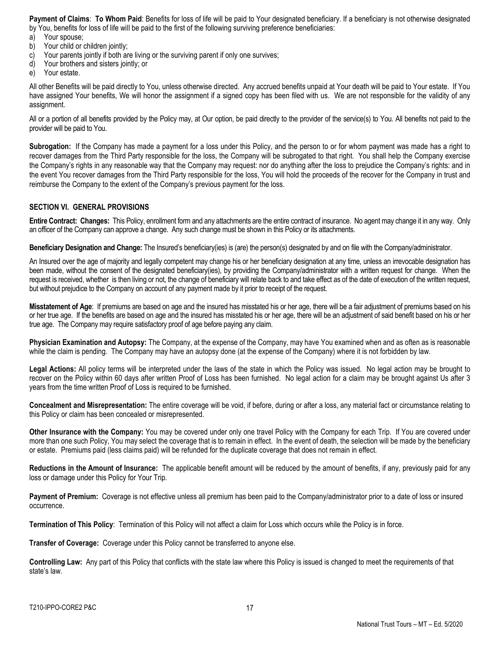**Payment of Claims**: **To Whom Paid**: Benefits for loss of life will be paid to Your designated beneficiary. If a beneficiary is not otherwise designated by You, benefits for loss of life will be paid to the first of the following surviving preference beneficiaries:

- 
- a) Your spouse;<br>b) Your child or Your child or children jointly;
- c) Your parents jointly if both are living or the surviving parent if only one survives;
- d) Your brothers and sisters jointly; or
- e) Your estate.

All other Benefits will be paid directly to You, unless otherwise directed. Any accrued benefits unpaid at Your death will be paid to Your estate. If You have assigned Your benefits, We will honor the assignment if a signed copy has been filed with us. We are not responsible for the validity of any assignment.

All or a portion of all benefits provided by the Policy may, at Our option, be paid directly to the provider of the service(s) to You. All benefits not paid to the provider will be paid to You.

**Subrogation:** If the Company has made a payment for a loss under this Policy, and the person to or for whom payment was made has a right to recover damages from the Third Party responsible for the loss, the Company will be subrogated to that right. You shall help the Company exercise the Company's rights in any reasonable way that the Company may request: nor do anything after the loss to prejudice the Company's rights: and in the event You recover damages from the Third Party responsible for the loss, You will hold the proceeds of the recover for the Company in trust and reimburse the Company to the extent of the Company's previous payment for the loss.

# **SECTION VI. GENERAL PROVISIONS**

**Entire Contract: Changes:** This Policy, enrollment form and any attachments are the entire contract of insurance. No agent may change it in any way. Only an officer of the Company can approve a change. Any such change must be shown in this Policy or its attachments.

**Beneficiary Designation and Change:** The Insured's beneficiary(ies) is (are) the person(s) designated by and on file with the Company/administrator.

An Insured over the age of majority and legally competent may change his or her beneficiary designation at any time, unless an irrevocable designation has been made, without the consent of the designated beneficiary(ies), by providing the Company/administrator with a written request for change. When the request is received, whether is then living or not, the change of beneficiary will relate back to and take effect as of the date of execution of the written request, but without prejudice to the Company on account of any payment made by it prior to receipt of the request.

**Misstatement of Age**: If premiums are based on age and the insured has misstated his or her age, there will be a fair adjustment of premiums based on his or her true age. If the benefits are based on age and the insured has misstated his or her age, there will be an adjustment of said benefit based on his or her true age. The Company may require satisfactory proof of age before paying any claim.

**Physician Examination and Autopsy:** The Company, at the expense of the Company, may have You examined when and as often as is reasonable while the claim is pending. The Company may have an autopsy done (at the expense of the Company) where it is not forbidden by law.

**Legal Actions:** All policy terms will be interpreted under the laws of the state in which the Policy was issued. No legal action may be brought to recover on the Policy within 60 days after written Proof of Loss has been furnished. No legal action for a claim may be brought against Us after 3 years from the time written Proof of Loss is required to be furnished.

**Concealment and Misrepresentation:** The entire coverage will be void, if before, during or after a loss, any material fact or circumstance relating to this Policy or claim has been concealed or misrepresented.

**Other Insurance with the Company:** You may be covered under only one travel Policy with the Company for each Trip. If You are covered under more than one such Policy, You may select the coverage that is to remain in effect. In the event of death, the selection will be made by the beneficiary or estate. Premiums paid (less claims paid) will be refunded for the duplicate coverage that does not remain in effect.

**Reductions in the Amount of Insurance:** The applicable benefit amount will be reduced by the amount of benefits, if any, previously paid for any loss or damage under this Policy for Your Trip.

**Payment of Premium:** Coverage is not effective unless all premium has been paid to the Company/administrator prior to a date of loss or insured occurrence.

**Termination of This Policy**: Termination of this Policy will not affect a claim for Loss which occurs while the Policy is in force.

**Transfer of Coverage:** Coverage under this Policy cannot be transferred to anyone else.

**Controlling Law:** Any part of this Policy that conflicts with the state law where this Policy is issued is changed to meet the requirements of that state's law.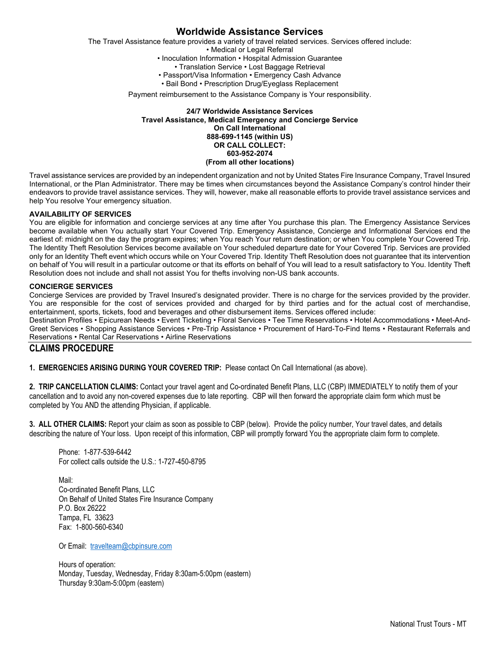# **Worldwide Assistance Services**

The Travel Assistance feature provides a variety of travel related services. Services offered include:

• Medical or Legal Referral

• Inoculation Information • Hospital Admission Guarantee

• Translation Service • Lost Baggage Retrieval

• Passport/Visa Information • Emergency Cash Advance

• Bail Bond • Prescription Drug/Eyeglass Replacement

Payment reimbursement to the Assistance Company is Your responsibility.

#### **24/7 Worldwide Assistance Services Travel Assistance, Medical Emergency and Concierge Service On Call International 888-699-1145 (within US) OR CALL COLLECT: 603-952-2074 (From all other locations)**

Travel assistance services are provided by an independent organization and not by United States Fire Insurance Company, Travel Insured International, or the Plan Administrator. There may be times when circumstances beyond the Assistance Company's control hinder their endeavors to provide travel assistance services. They will, however, make all reasonable efforts to provide travel assistance services and help You resolve Your emergency situation.

#### **AVAILABILITY OF SERVICES**

You are eligible for information and concierge services at any time after You purchase this plan. The Emergency Assistance Services become available when You actually start Your Covered Trip. Emergency Assistance, Concierge and Informational Services end the earliest of: midnight on the day the program expires; when You reach Your return destination; or when You complete Your Covered Trip. The Identity Theft Resolution Services become available on Your scheduled departure date for Your Covered Trip. Services are provided only for an Identity Theft event which occurs while on Your Covered Trip. Identity Theft Resolution does not guarantee that its intervention on behalf of You will result in a particular outcome or that its efforts on behalf of You will lead to a result satisfactory to You. Identity Theft Resolution does not include and shall not assist You for thefts involving non-US bank accounts.

#### **CONCIERGE SERVICES**

Concierge Services are provided by Travel Insured's designated provider. There is no charge for the services provided by the provider. You are responsible for the cost of services provided and charged for by third parties and for the actual cost of merchandise, entertainment, sports, tickets, food and beverages and other disbursement items. Services offered include:

Destination Profiles • Epicurean Needs • Event Ticketing • Floral Services • Tee Time Reservations • Hotel Accommodations • Meet-And-Greet Services • Shopping Assistance Services • Pre-Trip Assistance • Procurement of Hard-To-Find Items • Restaurant Referrals and Reservations • Rental Car Reservations • Airline Reservations

# **CLAIMS PROCEDURE**

**1. EMERGENCIES ARISING DURING YOUR COVERED TRIP:** Please contact On Call International (as above).

**2. TRIP CANCELLATION CLAIMS:** Contact your travel agent and Co-ordinated Benefit Plans, LLC (CBP) IMMEDIATELY to notify them of your cancellation and to avoid any non-covered expenses due to late reporting. CBP will then forward the appropriate claim form which must be completed by You AND the attending Physician, if applicable.

**3. ALL OTHER CLAIMS:** Report your claim as soon as possible to CBP (below). Provide the policy number, Your travel dates, and details describing the nature of Your loss. Upon receipt of this information, CBP will promptly forward You the appropriate claim form to complete.

Phone: 1-877-539-6442 For collect calls outside the U.S.: 1-727-450-8795

Mail: Co-ordinated Benefit Plans, LLC On Behalf of United States Fire Insurance Company P.O. Box 26222 Tampa, FL 33623 Fax: 1-800-560-6340

Or Email: [travelteam@cbpinsure.com](mailto:travelteam@cbpinsure.com)

Hours of operation: Monday, Tuesday, Wednesday, Friday 8:30am-5:00pm (eastern) Thursday 9:30am-5:00pm (eastern)